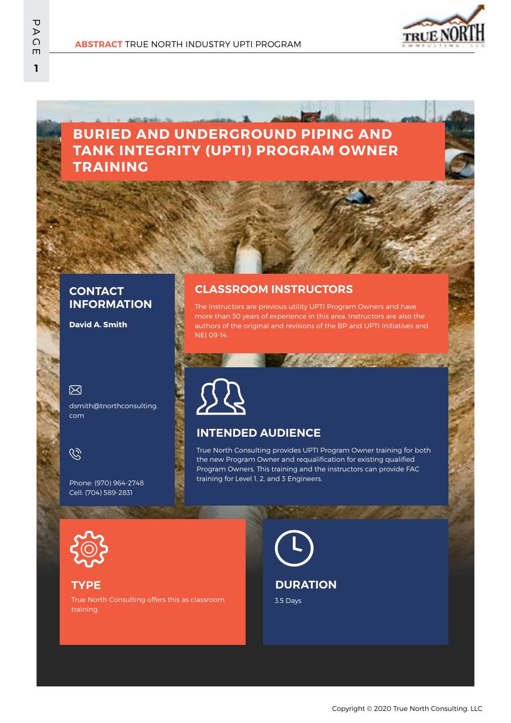

# **BURIED AND UNDERGROUND PIPING AND TANK INTEGRITY (UPTI) PROGRAM OWNER TRAINING**

## **CONTACT INFORMATION**

**David A. Smith**

### 冈

dsmith@tnorthconsulting. com



Phone: (970) 964-2748 Cell: (704) 589-2831

# **CLASSROOM INSTRUCTORS**

The instructors are previous utility UPTI Program Owners and have more than 30 years of experience in this area. Instructors are also the authors of the original and revisions of the BP and UPTI Initiatives and NEI 09-14.



### **INTENDED AUDIENCE**

True North Consulting provides UPTI Program Owner training for both the new Program Owner and requalification for existing qualified Program Owners. This training and the instructors can provide FAC training for Level 1, 2, and 3 Engineers.



#### **TYPE**

True North Consulting offers this as classroom training.

3.5 Days **DURATION**